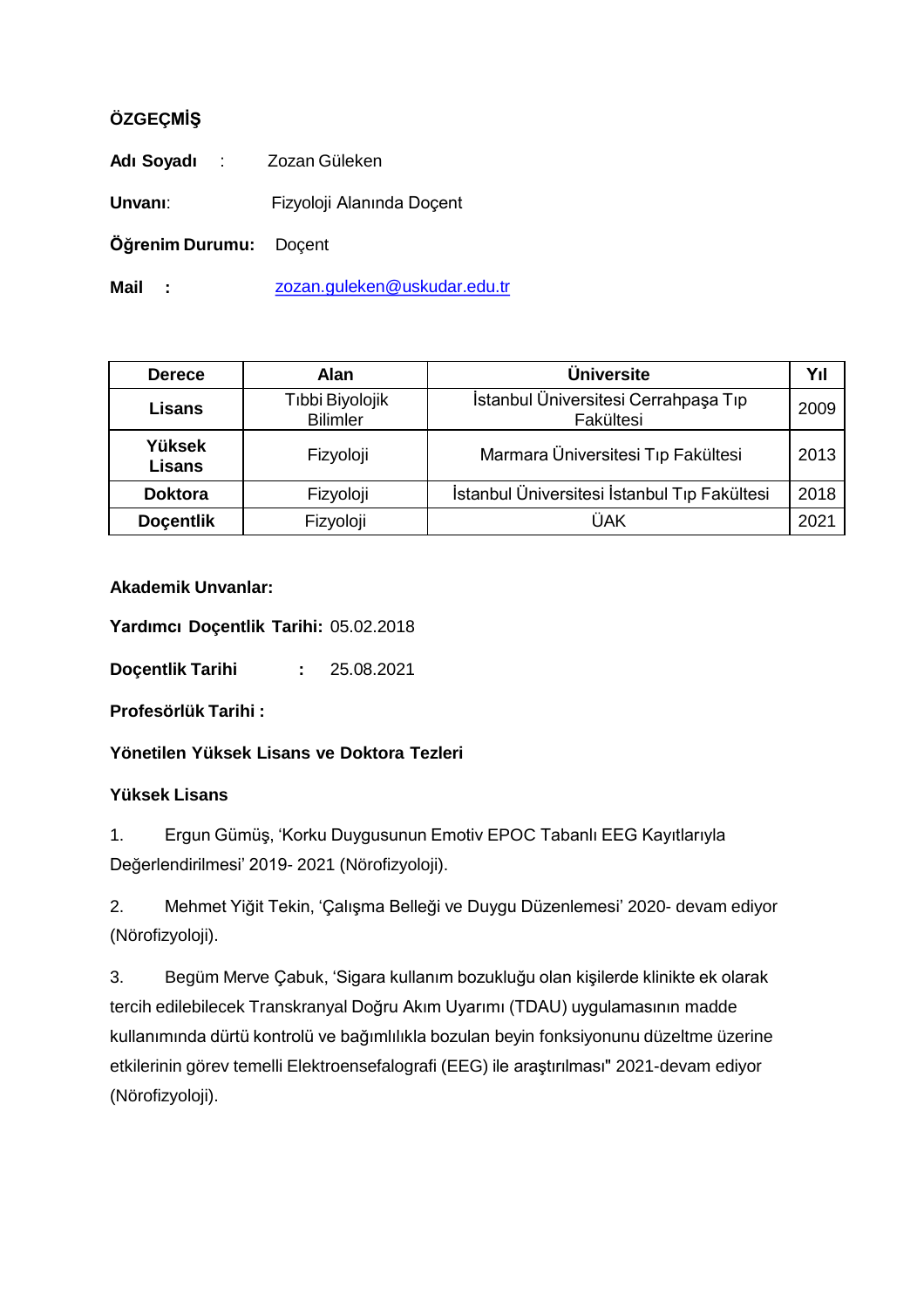## **ÖZGEÇMİŞ**

| Adı Soyadı :                  | Zozan Güleken                |  |
|-------------------------------|------------------------------|--|
| Unvanı:                       | Fizyoloji Alanında Doçent    |  |
| <b>Öğrenim Durumu:</b> Doçent |                              |  |
| Mail                          | zozan.guleken@uskudar.edu.tr |  |

| <b>Derece</b>                  | <b>Alan</b>                        | <b>Üniversite</b>                                 | Yıl  |
|--------------------------------|------------------------------------|---------------------------------------------------|------|
| <b>Lisans</b>                  | Tıbbi Biyolojik<br><b>Bilimler</b> | İstanbul Üniversitesi Cerrahpaşa Tıp<br>Fakültesi | 2009 |
| <b>Yüksek</b><br><b>Lisans</b> | Fizyoloji                          | Marmara Üniversitesi Tıp Fakültesi                | 2013 |
| <b>Doktora</b>                 | Fizyoloji                          | İstanbul Üniversitesi İstanbul Tıp Fakültesi      | 2018 |
| <b>Docentlik</b>               | Fizyoloji                          | ÜAK                                               | 2021 |

## **Akademik Unvanlar:**

**Yardımcı Doçentlik Tarihi:** 05.02.2018

**Doçentlik Tarihi :** 25.08.2021

**Profesörlük Tarihi :**

**Yönetilen Yüksek Lisans ve Doktora Tezleri**

## **Yüksek Lisans**

1. Ergun Gümüş, 'Korku Duygusunun Emotiv EPOC Tabanlı EEG Kayıtlarıyla Değerlendirilmesi' 2019- 2021 (Nörofizyoloji).

2. Mehmet Yiğit Tekin, 'Çalışma Belleği ve Duygu Düzenlemesi' 2020- devam ediyor (Nörofizyoloji).

3. Begüm Merve Çabuk, 'Sigara kullanım bozukluğu olan kişilerde klinikte ek olarak tercih edilebilecek Transkranyal Doğru Akım Uyarımı (TDAU) uygulamasının madde kullanımında dürtü kontrolü ve bağımlılıkla bozulan beyin fonksiyonunu düzeltme üzerine etkilerinin görev temelli Elektroensefalografi (EEG) ile araştırılması" 2021-devam ediyor (Nörofizyoloji).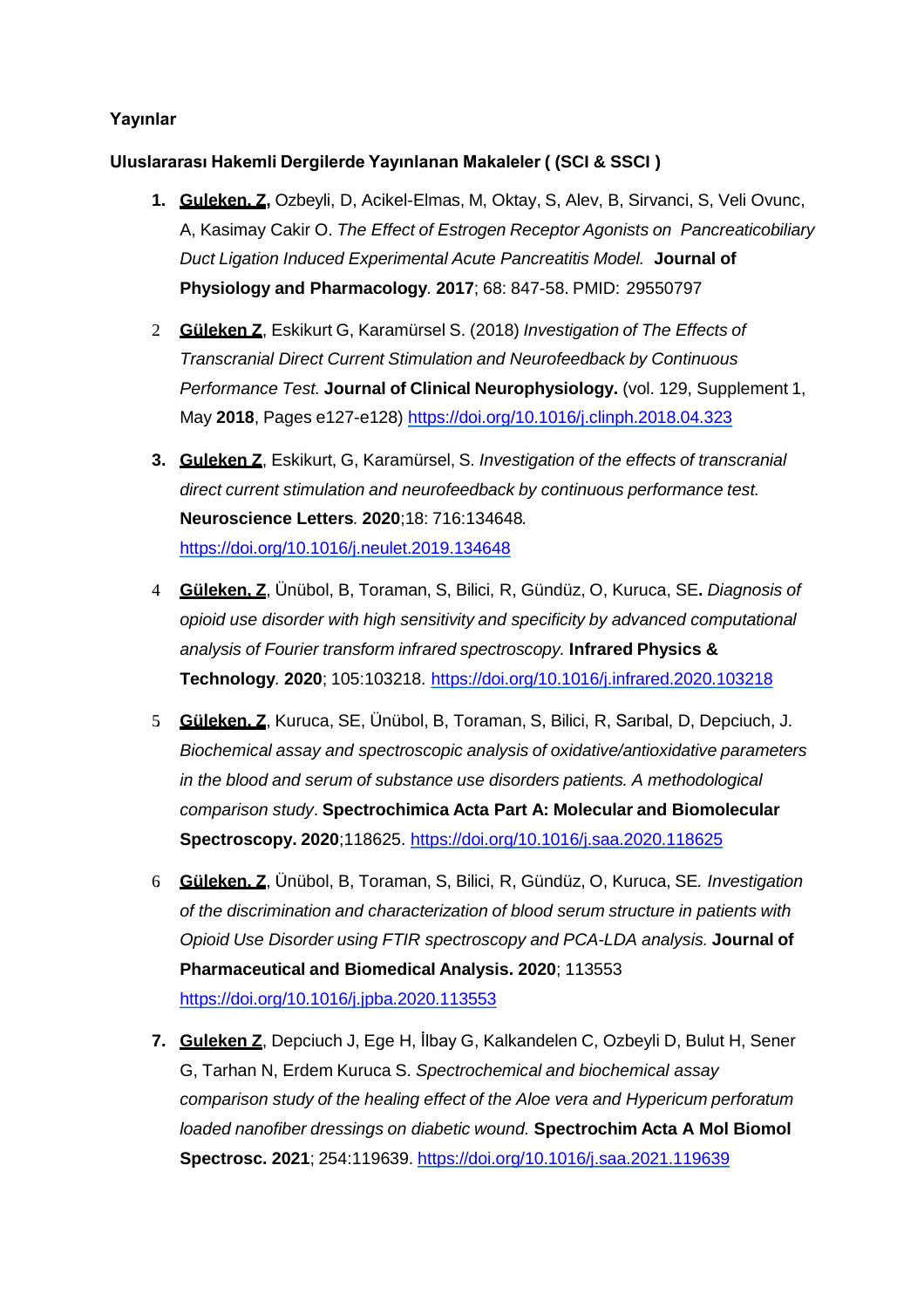## **Yayınlar**

#### **Uluslararası Hakemli Dergilerde Yayınlanan Makaleler ( (SCI & SSCI )**

- **1. Guleken, Z,** Ozbeyli, D, Acikel-Elmas, M, Oktay, S, Alev, B, Sirvanci, S, Veli Ovunc, A, Kasimay Cakir O. *The Effect of Estrogen Receptor Agonists on Pancreaticobiliary Duct Ligation Induced Experimental Acute Pancreatitis Model.* **Journal of Physiology and Pharmacology***.* **2017**; 68: 847-58. PMID: 29550797
- 2. **Güleken Z**, Eskikurt G, Karamürsel S. (2018) *Investigation of The Effects of Transcranial Direct Current Stimulation and Neurofeedback by Continuous Performance Test.* **Journal of Clinical Neurophysiology.** (vol. 129, Supplement 1, May **2018**, Pages e127-e128) <https://doi.org/10.1016/j.clinph.2018.04.323>
- **3. Guleken Z**, Eskikurt, G, Karamürsel, S. *Investigation of the effects of transcranial direct current stimulation and neurofeedback by continuous performance test.*  **Neuroscience Letters***.* **2020**;18: 716:134648*.*  <https://doi.org/10.1016/j.neulet.2019.134648>
- 4. **Güleken, Z**, Ünübol, B, Toraman, S, Bilici, R, Gündüz, O, Kuruca, SE**.** *Diagnosis of opioid use disorder with high sensitivity and specificity by advanced computational analysis of Fourier transform infrared spectroscopy.* **Infrared Physics & Technology***.* **2020**; 105:103218. <https://doi.org/10.1016/j.infrared.2020.103218>
- 5. **Güleken, Z**, Kuruca, SE, Ünübol, B, Toraman, S, Bilici, R, Sarıbal, D, Depciuch, J. *Biochemical assay and spectroscopic analysis of oxidative/antioxidative parameters in the blood and serum of substance use disorders patients. A methodological comparison study*. **Spectrochimica Acta Part A: Molecular and Biomolecular Spectroscopy. 2020**;118625. <https://doi.org/10.1016/j.saa.2020.118625>
- 6. **Güleken, Z**, Ünübol, B, Toraman, S, Bilici, R, Gündüz, O, Kuruca, SE*. Investigation of the discrimination and characterization of blood serum structure in patients with Opioid Use Disorder using FTIR spectroscopy and PCA-LDA analysis.* **Journal of Pharmaceutical and Biomedical Analysis. 2020**; 113553 <https://doi.org/10.1016/j.jpba.2020.113553>
- **7. Guleken Z**, Depciuch J, Ege H, İlbay G, Kalkandelen C, Ozbeyli D, Bulut H, Sener G, Tarhan N, Erdem Kuruca S. *Spectrochemical and biochemical assay comparison study of the healing effect of the Aloe vera and Hypericum perforatum loaded nanofiber dressings on diabetic wound.* **Spectrochim Acta A Mol Biomol Spectrosc. 2021**; 254:119639. <https://doi.org/10.1016/j.saa.2021.119639>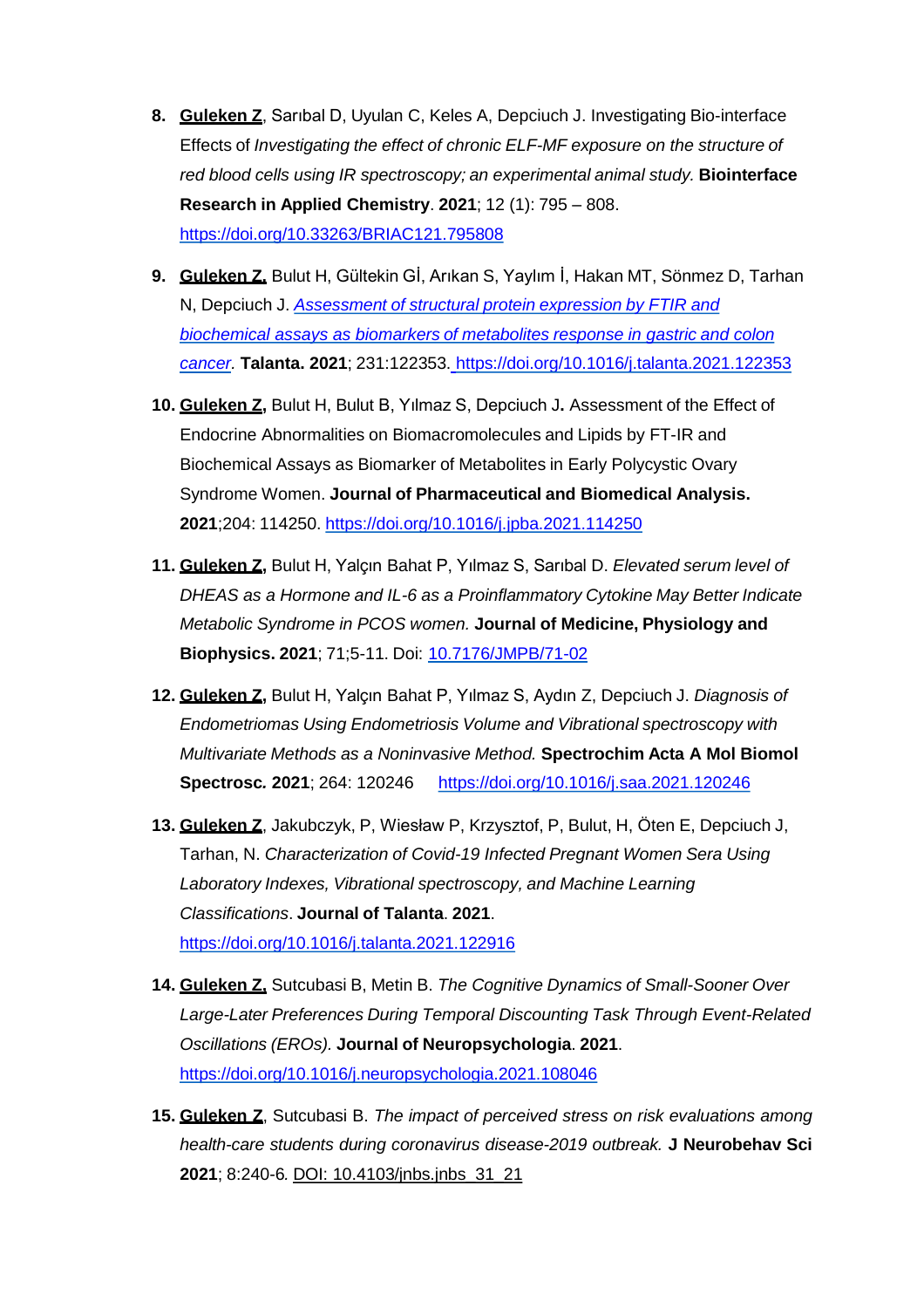- **8. Guleken Z**, Sarıbal D, Uyulan C, Keles A, Depciuch J. Investigating Bio-interface Effects of *Investigating the effect of chronic ELF-MF exposure on the structure of red blood cells using IR spectroscopy; an experimental animal study.* **Biointerface Research in Applied Chemistry**. **2021**; 12 (1): 795 – 808. <https://doi.org/10.33263/BRIAC121.795808>
- **9. Guleken Z,** Bulut H, Gültekin Gİ, Arıkan S, Yaylım İ, Hakan MT, Sönmez D, Tarhan N, Depciuch J. *Assessment of structural protein expression by FTIR and [biochemical assays as biomarkers of metabolites response in gastric and colon](https://www.sciencedirect.com/science/article/pii/S0039914021002745)  cancer.* **Talanta. 2021**; 231:122353. <https://doi.org/10.1016/j.talanta.2021.122353>
- **10. Guleken Z,** Bulut H, Bulut B, Yılmaz S, Depciuch J**.** Assessment of the Effect of Endocrine Abnormalities on Biomacromolecules and Lipids by FT-IR and Biochemical Assays as Biomarker of Metabolites in Early Polycystic Ovary Syndrome Women. **Journal of Pharmaceutical and Biomedical Analysis. 2021**;204: 114250. <https://doi.org/10.1016/j.jpba.2021.114250>
- **11. Guleken Z,** Bulut H, Yalçın Bahat P, Yılmaz S, Sarıbal D. *Elevated serum level of DHEAS as a Hormone and IL-6 as a Proinflammatory Cytokine May Better Indicate Metabolic Syndrome in PCOS women.* **Journal of Medicine, Physiology and Biophysics. 2021**; 71;5-11. Doi: [10.7176/JMPB/71-02](https://iiste.org/Journals/index.php/JMPB/article/view/56662/58508)
- **12. Guleken Z,** Bulut H, Yalçın Bahat P, Yılmaz S, Aydın Z, Depciuch J. *Diagnosis of Endometriomas Using Endometriosis Volume and Vibrational spectroscopy with Multivariate Methods as a Noninvasive Method.* **Spectrochim Acta A Mol Biomol Spectrosc***.* **2021**; 264: 120246 <https://doi.org/10.1016/j.saa.2021.120246>
- **13. Guleken Z**, Jakubczyk, P, Wiesław P, Krzysztof, P, Bulut, H, Öten E, Depciuch J, Tarhan, N. *Characterization of Covid-19 Infected Pregnant Women Sera Using Laboratory Indexes, Vibrational spectroscopy, and Machine Learning Classifications*. **Journal of Talanta**. **2021**. <https://doi.org/10.1016/j.talanta.2021.122916>
- **14. Guleken Z,** Sutcubasi B, Metin B. *The Cognitive Dynamics of Small-Sooner Over Large-Later Preferences During Temporal Discounting Task Through Event-Related Oscillations (EROs).* **Journal of Neuropsychologia**. **2021**. <https://doi.org/10.1016/j.neuropsychologia.2021.108046>
- **15. Guleken Z**, Sutcubasi B. *The impact of perceived stress on risk evaluations among health-care students during coronavirus disease-2019 outbreak.* **J Neurobehav Sci 2021**; 8:240-6*.* DOI: 10.4103/jnbs.jnbs\_31\_21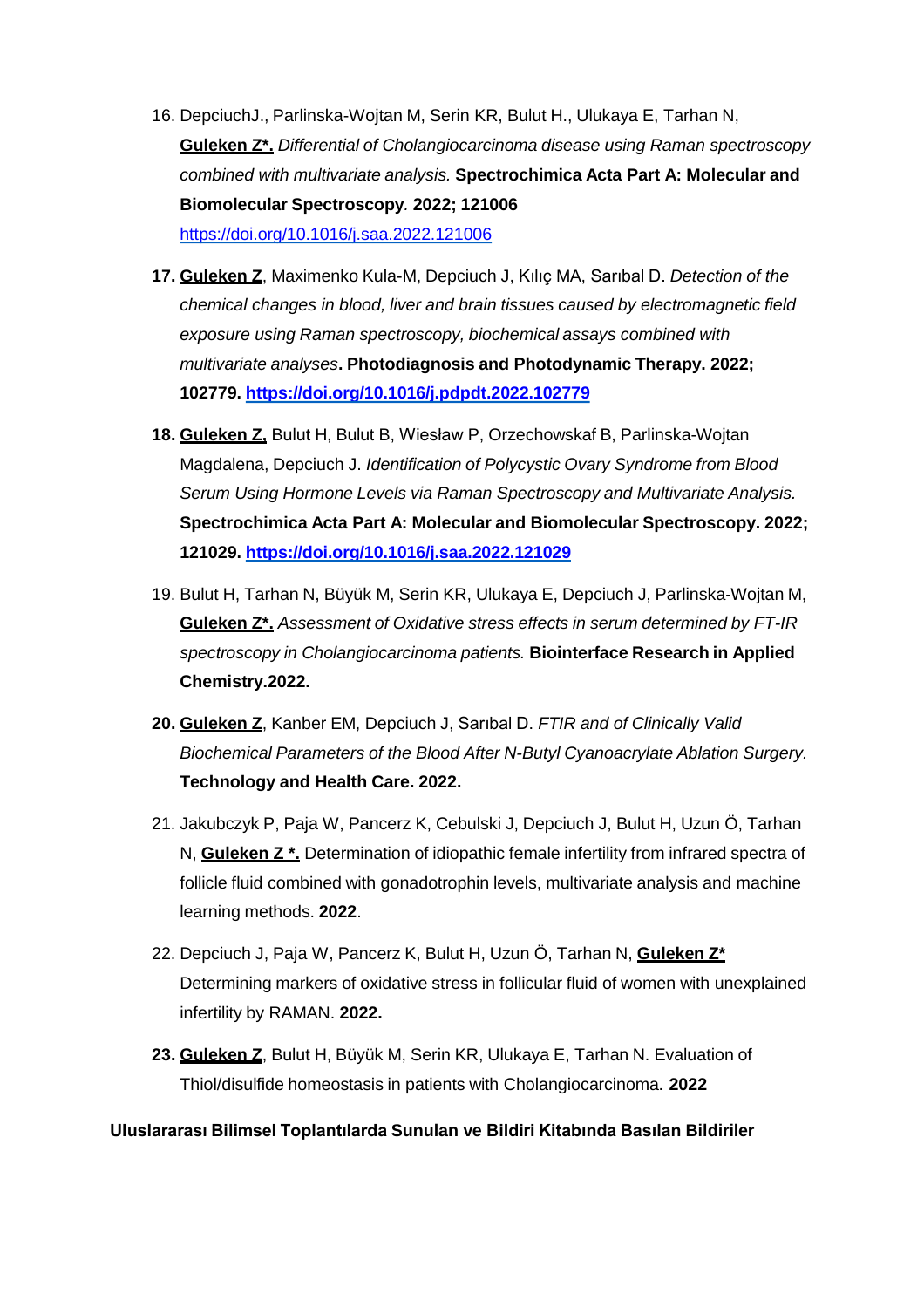- 16. DepciuchJ., Parlinska-Wojtan M, Serin KR, Bulut H., Ulukaya E, Tarhan N, **Guleken Z\*.** *Differential of Cholangiocarcinoma disease using Raman spectroscopy combined with multivariate analysis.* **Spectrochimica Acta Part A: Molecular and Biomolecular Spectroscopy***.* **2022; 121006**  <https://doi.org/10.1016/j.saa.2022.121006>
- **17. Guleken Z**, Maximenko Kula-M, Depciuch J, Kılıç MA, Sarıbal D. *Detection of the chemical changes in blood, liver and brain tissues caused by electromagnetic field exposure using Raman spectroscopy, biochemical assays combined with multivariate analyses***. Photodiagnosis and Photodynamic Therapy. 2022; 102779. <https://doi.org/10.1016/j.pdpdt.2022.102779>**
- **18. Guleken Z,** Bulut H, Bulut B, Wiesław P, Orzechowskaf B, Parlinska-Wojtan Magdalena, Depciuch J. *Identification of Polycystic Ovary Syndrome from Blood Serum Using Hormone Levels via Raman Spectroscopy and Multivariate Analysis.*  **Spectrochimica Acta Part A: Molecular and Biomolecular Spectroscopy. 2022; 121029. <https://doi.org/10.1016/j.saa.2022.121029>**
- 19. Bulut H, Tarhan N, Büyük M, Serin KR, Ulukaya E, Depciuch J, Parlinska-Wojtan M, **Guleken Z\*.** *Assessment of Oxidative stress effects in serum determined by FT-IR spectroscopy in Cholangiocarcinoma patients.* **Biointerface Research in Applied Chemistry.2022.**
- **20. Guleken Z**, Kanber EM, Depciuch J, Sarıbal D. *FTIR and of Clinically Valid Biochemical Parameters of the Blood After N-Butyl Cyanoacrylate Ablation Surgery.*  **Technology and Health Care. 2022.**
- 21. Jakubczyk P, Paja W, Pancerz K, Cebulski J, Depciuch J, Bulut H, Uzun Ö, Tarhan N, **Guleken Z \*.** Determination of idiopathic female infertility from infrared spectra of follicle fluid combined with gonadotrophin levels, multivariate analysis and machine learning methods. **2022**.
- 22. Depciuch J, Paja W, Pancerz K, Bulut H, Uzun Ö, Tarhan N, **Guleken Z\***  Determining markers of oxidative stress in follicular fluid of women with unexplained infertility by RAMAN. **2022.**
- **23. Guleken Z**, Bulut H, Büyük M, Serin KR, Ulukaya E, Tarhan N. Evaluation of Thiol/disulfide homeostasis in patients with Cholangiocarcinoma. **2022**

#### **Uluslararası Bilimsel Toplantılarda Sunulan ve Bildiri Kitabında Basılan Bildiriler**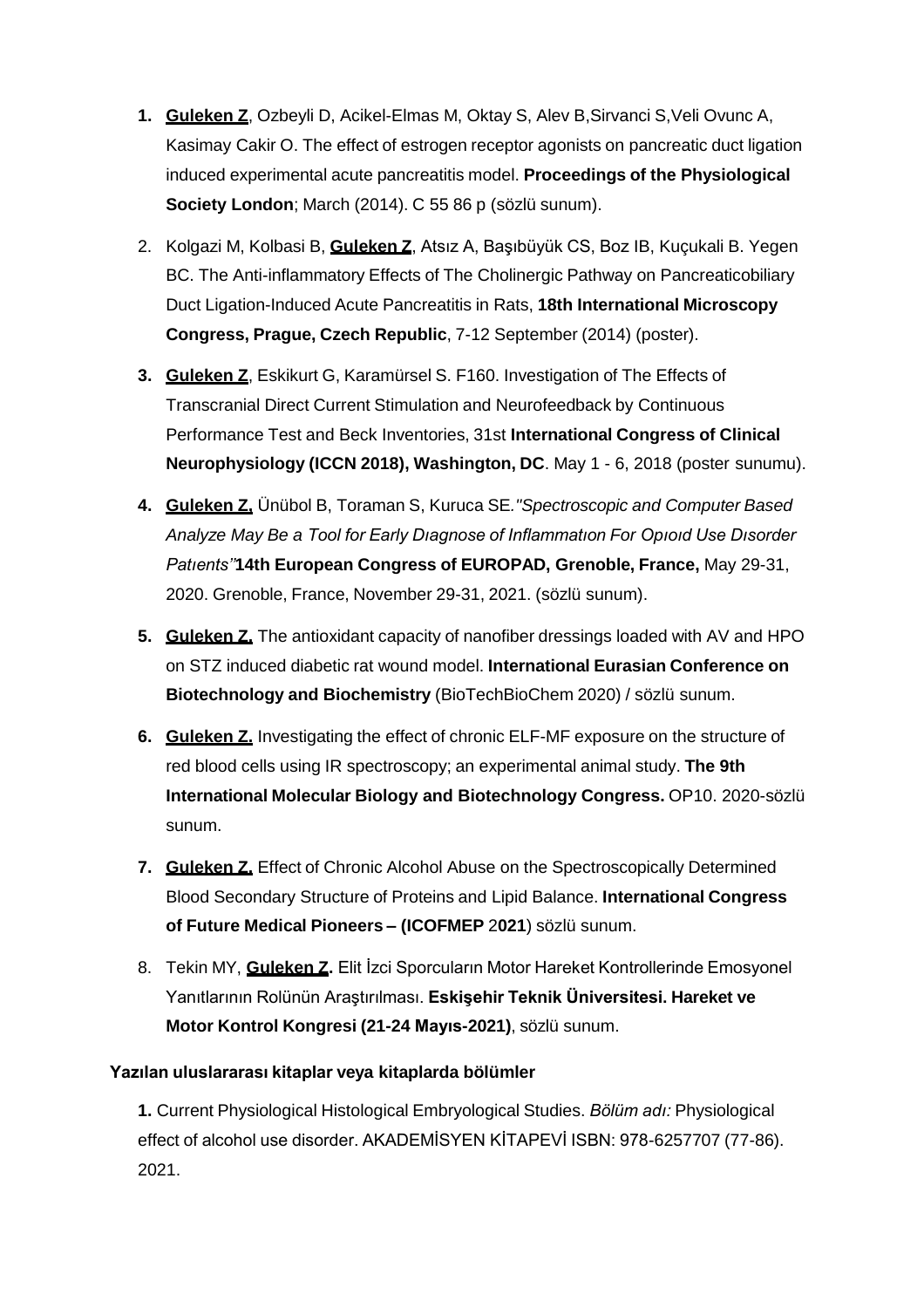- **1. Guleken Z**, Ozbeyli D, Acikel-Elmas M, Oktay S, Alev B,Sirvanci S,Veli Ovunc A, Kasimay Cakir O. The effect of estrogen receptor agonists on pancreatic duct ligation induced experimental acute pancreatitis model. **Proceedings of the Physiological Society London**; March (2014). C 55 86 p (sözlü sunum).
- 2. Kolgazi M, Kolbasi B, **Guleken Z**, Atsız A, Başıbüyük CS, Boz IB, Kuçukali B. Yegen BC. The Anti-inflammatory Effects of The Cholinergic Pathway on Pancreaticobiliary Duct Ligation-Induced Acute Pancreatitis in Rats, **18th International Microscopy Congress, Prague, Czech Republic**, 7-12 September (2014) (poster).
- **3. Guleken Z**, Eskikurt G, Karamürsel S. F160. Investigation of The Effects of Transcranial Direct Current Stimulation and Neurofeedback by Continuous Performance Test and Beck Inventories, 31st **International Congress of Clinical Neurophysiology (ICCN 2018), Washington, DC**. May 1 - 6, 2018 (poster sunumu).
- **4. Guleken Z,** Ünübol B, Toraman S, Kuruca SE*."Spectroscopic and Computer Based Analyze May Be a Tool for Early Dıagnose of Inflammatıon For Opıoıd Use Dısorder Patıents''***14th European Congress of EUROPAD, Grenoble, France,** May 29-31, 2020. Grenoble, France, November 29-31, 2021. (sözlü sunum).
- **5. Guleken Z.** The antioxidant capacity of nanofiber dressings loaded with AV and HPO on STZ induced diabetic rat wound model. **International Eurasian Conference on Biotechnology and Biochemistry** (BioTechBioChem 2020) / sözlü sunum.
- **6. Guleken Z.** Investigating the effect of chronic ELF-MF exposure on the structure of red blood cells using IR spectroscopy; an experimental animal study. **The 9th International Molecular Biology and Biotechnology Congress.** OP10. 2020-sözlü sunum.
- **7. Guleken Z.** Effect of Chronic Alcohol Abuse on the Spectroscopically Determined Blood Secondary Structure of Proteins and Lipid Balance. **International Congress of Future Medical Pioneers – (ICOFMEP** 2**021**) sözlü sunum.
- 8. Tekin MY, **Guleken Z.** Elit İzci Sporcuların Motor Hareket Kontrollerinde Emosyonel Yanıtlarının Rolünün Araştırılması. **Eskişehir Teknik Üniversitesi. Hareket ve Motor Kontrol Kongresi (21-24 Mayıs-2021)**, sözlü sunum.

## **Yazılan uluslararası kitaplar veya kitaplarda bölümler**

**1.** Current Physiological Histological Embryological Studies. *Bölüm adı:* Physiological effect of alcohol use disorder. AKADEMİSYEN KİTAPEVİ ISBN: 978-6257707 (77-86). 2021.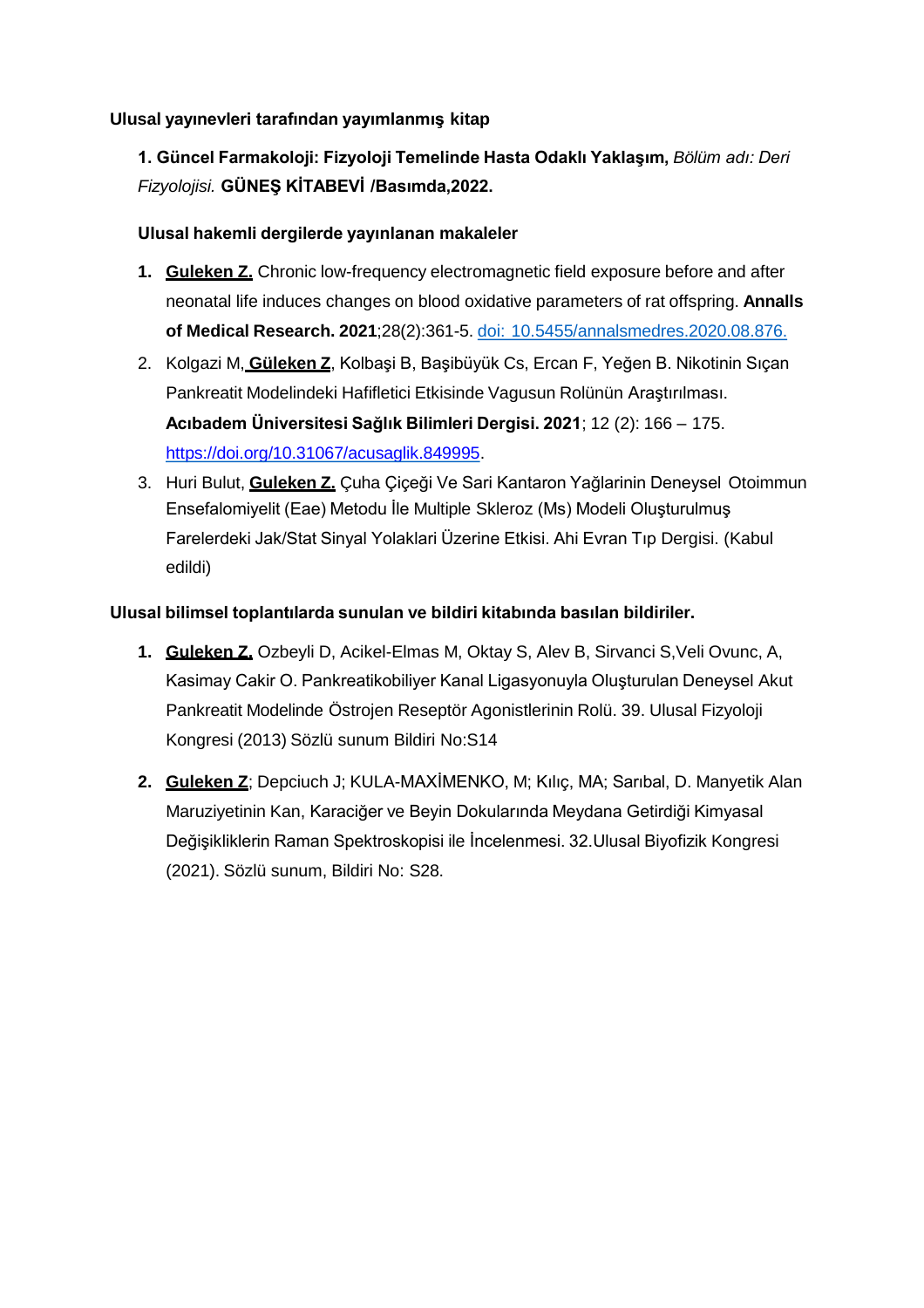## **Ulusal yayınevleri tarafından yayımlanmış kitap**

# **1. Güncel Farmakoloji: Fizyoloji Temelinde Hasta Odaklı Yaklaşım,** *Bölüm adı: Deri Fizyolojisi.* **GÜNEŞ KİTABEVİ /Basımda,2022.**

#### **Ulusal hakemli dergilerde yayınlanan makaleler**

- **1. Guleken Z.** Chronic low-frequency electromagnetic field exposure before and after neonatal life induces changes on blood oxidative parameters of rat offspring. **Annalls of Medical Research. 2021**;28(2):361-5. doi: 10.5455/annalsmedres.2020.08.876.
- 2. Kolgazi M, **Güleken Z**, Kolbaşi B, Başibüyük Cs, Ercan F, Yeğen B. Nikotinin Sıçan Pankreatit Modelindeki Hafifletici Etkisinde Vagusun Rolünün Araştırılması. **Acıbadem Üniversitesi Sağlık Bilimleri Dergisi. 2021**; 12 (2): 166 – 175. <https://doi.org/10.31067/acusaglik.849995>.
- 3. Huri Bulut, **Guleken Z.** Çuha Çiçeği Ve Sari Kantaron Yağlarinin Deneysel Otoimmun Ensefalomiyelit (Eae) Metodu İle Multiple Skleroz (Ms) Modeli Oluşturulmuş Farelerdeki Jak/Stat Sinyal Yolaklari Üzerine Etkisi. Ahi Evran Tıp Dergisi. (Kabul edildi)

#### **Ulusal bilimsel toplantılarda sunulan ve bildiri kitabında basılan bildiriler.**

- **1. Guleken Z,** Ozbeyli D, Acikel-Elmas M, Oktay S, Alev B, Sirvanci S,Veli Ovunc, A, Kasimay Cakir O. Pankreatikobiliyer Kanal Ligasyonuyla Oluşturulan Deneysel Akut Pankreatit Modelinde Östrojen Reseptör Agonistlerinin Rolü. 39. Ulusal Fizyoloji Kongresi (2013) Sözlü sunum Bildiri No:S14
- **2. Guleken Z**; Depciuch J; KULA-MAXİMENKO, M; Kılıç, MA; Sarıbal, D. Manyetik Alan Maruziyetinin Kan, Karaciğer ve Beyin Dokularında Meydana Getirdiği Kimyasal Değişikliklerin Raman Spektroskopisi ile İncelenmesi. 32.Ulusal Biyofizik Kongresi (2021). Sözlü sunum, Bildiri No: S28.